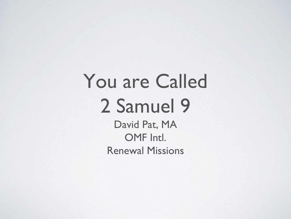# You are Called 2 Samuel 9

David Pat, MA OMF Intl. Renewal Missions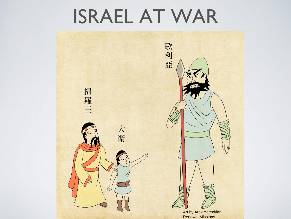## ISRAEL AT WAR

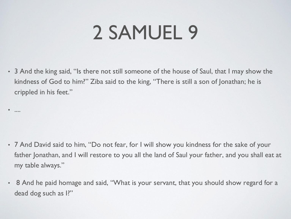# 2 SAMUEL 9

• 3 And the king said, "Is there not still someone of the house of Saul, that I may show the kindness of God to him?" Ziba said to the king, "There is still a son of Jonathan; he is crippled in his feet."

• ....

- 7 And David said to him, "Do not fear, for I will show you kindness for the sake of your father Jonathan, and I will restore to you all the land of Saul your father, and you shall eat at my table always."
- 8 And he paid homage and said, "What is your servant, that you should show regard for a dead dog such as I?"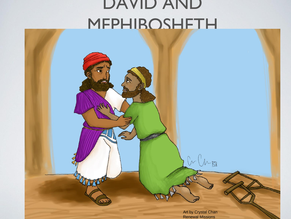#### DAVID AND MEPHIBOSHETH

Art by Crystal Chan Renewal Missions

 $0$ 

 $\bigcup_{\mathcal{M}}$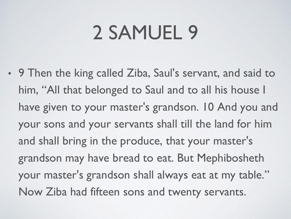# 2 SAMUEL 9

• 9 Then the king called Ziba, Saul's servant, and said to him, "All that belonged to Saul and to all his house I have given to your master's grandson. 10 And you and your sons and your servants shall till the land for him and shall bring in the produce, that your master's grandson may have bread to eat. But Mephibosheth your master's grandson shall always eat at my table." Now Ziba had fifteen sons and twenty servants.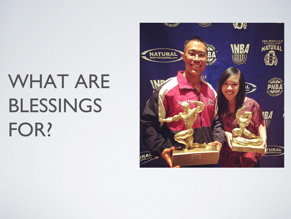# WHAT ARE BLESSINGS FOR?

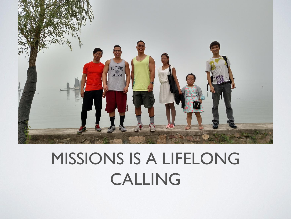

### MISSIONS IS A LIFELONG CALLING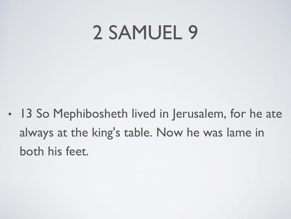## 2 SAMUEL 9

• 13 So Mephibosheth lived in Jerusalem, for he ate always at the king's table. Now he was lame in both his feet.